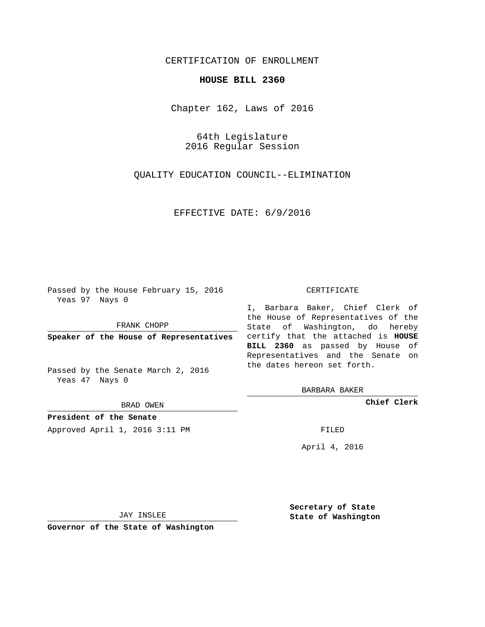## CERTIFICATION OF ENROLLMENT

## **HOUSE BILL 2360**

Chapter 162, Laws of 2016

64th Legislature 2016 Regular Session

QUALITY EDUCATION COUNCIL--ELIMINATION

EFFECTIVE DATE: 6/9/2016

Passed by the House February 15, 2016 Yeas 97 Nays 0

FRANK CHOPP

Passed by the Senate March 2, 2016 Yeas 47 Nays 0

BRAD OWEN

**President of the Senate**

Approved April 1, 2016 3:11 PM FILED

## CERTIFICATE

**Speaker of the House of Representatives** certify that the attached is **HOUSE** I, Barbara Baker, Chief Clerk of the House of Representatives of the State of Washington, do hereby **BILL 2360** as passed by House of Representatives and the Senate on the dates hereon set forth.

BARBARA BAKER

**Chief Clerk**

April 4, 2016

JAY INSLEE

**Governor of the State of Washington**

**Secretary of State State of Washington**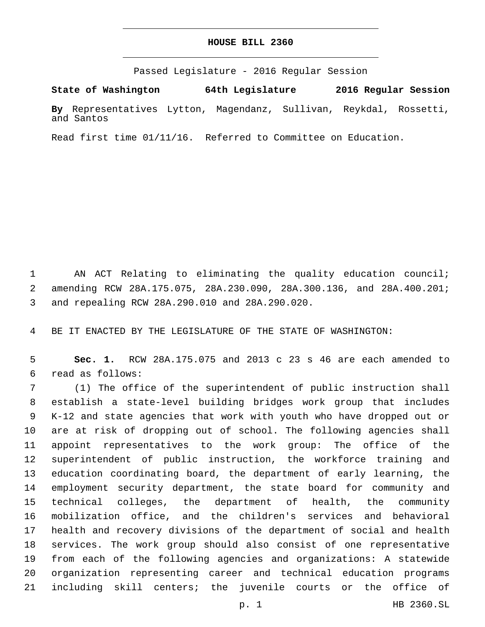## **HOUSE BILL 2360**

Passed Legislature - 2016 Regular Session

**State of Washington 64th Legislature 2016 Regular Session**

**By** Representatives Lytton, Magendanz, Sullivan, Reykdal, Rossetti, and Santos

Read first time 01/11/16. Referred to Committee on Education.

 AN ACT Relating to eliminating the quality education council; amending RCW 28A.175.075, 28A.230.090, 28A.300.136, and 28A.400.201; and repealing RCW 28A.290.010 and 28A.290.020.3

BE IT ENACTED BY THE LEGISLATURE OF THE STATE OF WASHINGTON:

 **Sec. 1.** RCW 28A.175.075 and 2013 c 23 s 46 are each amended to read as follows:6

 (1) The office of the superintendent of public instruction shall establish a state-level building bridges work group that includes K-12 and state agencies that work with youth who have dropped out or are at risk of dropping out of school. The following agencies shall appoint representatives to the work group: The office of the superintendent of public instruction, the workforce training and education coordinating board, the department of early learning, the employment security department, the state board for community and technical colleges, the department of health, the community mobilization office, and the children's services and behavioral health and recovery divisions of the department of social and health services. The work group should also consist of one representative from each of the following agencies and organizations: A statewide organization representing career and technical education programs including skill centers; the juvenile courts or the office of

p. 1 HB 2360.SL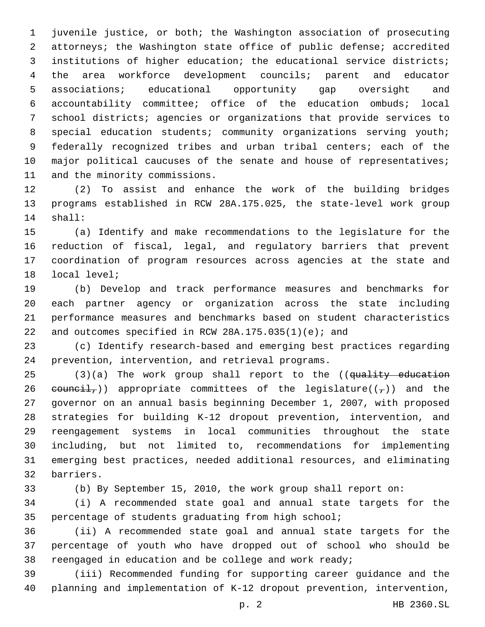juvenile justice, or both; the Washington association of prosecuting attorneys; the Washington state office of public defense; accredited institutions of higher education; the educational service districts; the area workforce development councils; parent and educator associations; educational opportunity gap oversight and accountability committee; office of the education ombuds; local school districts; agencies or organizations that provide services to 8 special education students; community organizations serving youth; federally recognized tribes and urban tribal centers; each of the 10 major political caucuses of the senate and house of representatives; 11 and the minority commissions.

 (2) To assist and enhance the work of the building bridges programs established in RCW 28A.175.025, the state-level work group 14 shall:

 (a) Identify and make recommendations to the legislature for the reduction of fiscal, legal, and regulatory barriers that prevent coordination of program resources across agencies at the state and 18 local level;

 (b) Develop and track performance measures and benchmarks for each partner agency or organization across the state including performance measures and benchmarks based on student characteristics 22 and outcomes specified in RCW 28A.175.035(1)(e); and

 (c) Identify research-based and emerging best practices regarding 24 prevention, intervention, and retrieval programs.

25 (3)(a) The work group shall report to the ((quality education 26 eouncil,) appropriate committees of the legislature( $(\tau)$ ) and the governor on an annual basis beginning December 1, 2007, with proposed strategies for building K-12 dropout prevention, intervention, and reengagement systems in local communities throughout the state including, but not limited to, recommendations for implementing emerging best practices, needed additional resources, and eliminating barriers.32

(b) By September 15, 2010, the work group shall report on:

 (i) A recommended state goal and annual state targets for the percentage of students graduating from high school;

 (ii) A recommended state goal and annual state targets for the percentage of youth who have dropped out of school who should be reengaged in education and be college and work ready;

 (iii) Recommended funding for supporting career guidance and the planning and implementation of K-12 dropout prevention, intervention,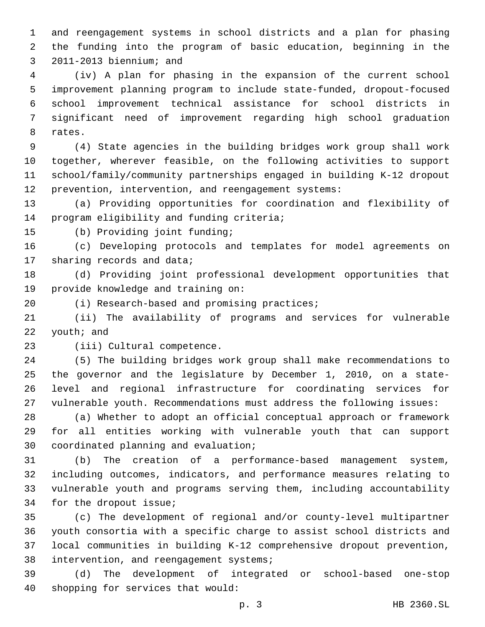and reengagement systems in school districts and a plan for phasing the funding into the program of basic education, beginning in the 3 2011-2013 biennium; and

 (iv) A plan for phasing in the expansion of the current school improvement planning program to include state-funded, dropout-focused school improvement technical assistance for school districts in significant need of improvement regarding high school graduation 8 rates.

 (4) State agencies in the building bridges work group shall work together, wherever feasible, on the following activities to support school/family/community partnerships engaged in building K-12 dropout prevention, intervention, and reengagement systems:

 (a) Providing opportunities for coordination and flexibility of 14 program eligibility and funding criteria;

15 (b) Providing joint funding;

 (c) Developing protocols and templates for model agreements on 17 sharing records and data;

 (d) Providing joint professional development opportunities that 19 provide knowledge and training on:

20 (i) Research-based and promising practices;

 (ii) The availability of programs and services for vulnerable youth; and

23 (iii) Cultural competence.

 (5) The building bridges work group shall make recommendations to the governor and the legislature by December 1, 2010, on a state- level and regional infrastructure for coordinating services for vulnerable youth. Recommendations must address the following issues:

 (a) Whether to adopt an official conceptual approach or framework for all entities working with vulnerable youth that can support 30 coordinated planning and evaluation;

 (b) The creation of a performance-based management system, including outcomes, indicators, and performance measures relating to vulnerable youth and programs serving them, including accountability 34 for the dropout issue;

 (c) The development of regional and/or county-level multipartner youth consortia with a specific charge to assist school districts and local communities in building K-12 comprehensive dropout prevention, 38 intervention, and reengagement systems;

 (d) The development of integrated or school-based one-stop 40 shopping for services that would: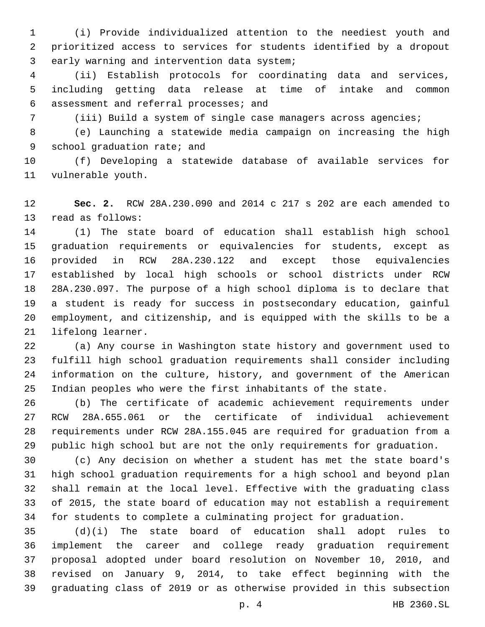(i) Provide individualized attention to the neediest youth and prioritized access to services for students identified by a dropout 3 early warning and intervention data system;

 (ii) Establish protocols for coordinating data and services, including getting data release at time of intake and common assessment and referral processes; and6

(iii) Build a system of single case managers across agencies;

 (e) Launching a statewide media campaign on increasing the high 9 school graduation rate; and

 (f) Developing a statewide database of available services for 11 vulnerable youth.

 **Sec. 2.** RCW 28A.230.090 and 2014 c 217 s 202 are each amended to 13 read as follows:

 (1) The state board of education shall establish high school graduation requirements or equivalencies for students, except as provided in RCW 28A.230.122 and except those equivalencies established by local high schools or school districts under RCW 28A.230.097. The purpose of a high school diploma is to declare that a student is ready for success in postsecondary education, gainful employment, and citizenship, and is equipped with the skills to be a 21 lifelong learner.

 (a) Any course in Washington state history and government used to fulfill high school graduation requirements shall consider including information on the culture, history, and government of the American Indian peoples who were the first inhabitants of the state.

 (b) The certificate of academic achievement requirements under RCW 28A.655.061 or the certificate of individual achievement requirements under RCW 28A.155.045 are required for graduation from a public high school but are not the only requirements for graduation.

 (c) Any decision on whether a student has met the state board's high school graduation requirements for a high school and beyond plan shall remain at the local level. Effective with the graduating class of 2015, the state board of education may not establish a requirement for students to complete a culminating project for graduation.

 (d)(i) The state board of education shall adopt rules to implement the career and college ready graduation requirement proposal adopted under board resolution on November 10, 2010, and revised on January 9, 2014, to take effect beginning with the graduating class of 2019 or as otherwise provided in this subsection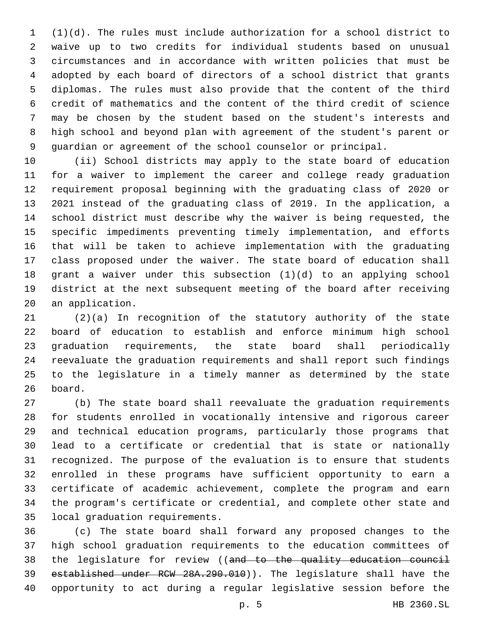(1)(d). The rules must include authorization for a school district to waive up to two credits for individual students based on unusual circumstances and in accordance with written policies that must be adopted by each board of directors of a school district that grants diplomas. The rules must also provide that the content of the third credit of mathematics and the content of the third credit of science may be chosen by the student based on the student's interests and high school and beyond plan with agreement of the student's parent or guardian or agreement of the school counselor or principal.

 (ii) School districts may apply to the state board of education for a waiver to implement the career and college ready graduation requirement proposal beginning with the graduating class of 2020 or 2021 instead of the graduating class of 2019. In the application, a school district must describe why the waiver is being requested, the specific impediments preventing timely implementation, and efforts that will be taken to achieve implementation with the graduating class proposed under the waiver. The state board of education shall grant a waiver under this subsection (1)(d) to an applying school district at the next subsequent meeting of the board after receiving 20 an application.

 (2)(a) In recognition of the statutory authority of the state board of education to establish and enforce minimum high school graduation requirements, the state board shall periodically reevaluate the graduation requirements and shall report such findings to the legislature in a timely manner as determined by the state 26 board.

 (b) The state board shall reevaluate the graduation requirements for students enrolled in vocationally intensive and rigorous career and technical education programs, particularly those programs that lead to a certificate or credential that is state or nationally recognized. The purpose of the evaluation is to ensure that students enrolled in these programs have sufficient opportunity to earn a certificate of academic achievement, complete the program and earn the program's certificate or credential, and complete other state and 35 local graduation requirements.

 (c) The state board shall forward any proposed changes to the high school graduation requirements to the education committees of 38 the legislature for review ((and to the quality education council established under RCW 28A.290.010)). The legislature shall have the opportunity to act during a regular legislative session before the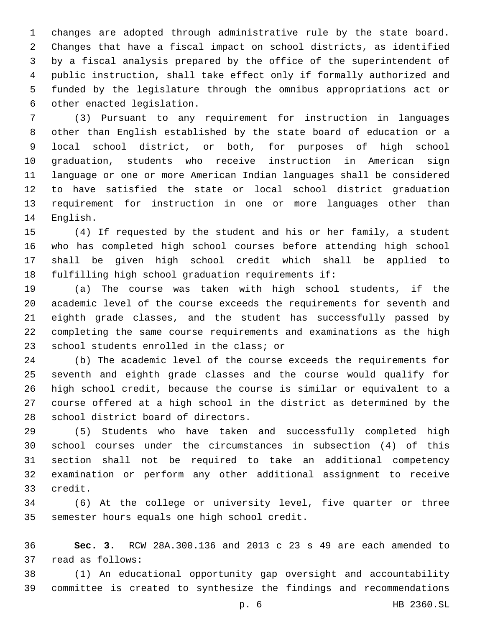changes are adopted through administrative rule by the state board. Changes that have a fiscal impact on school districts, as identified by a fiscal analysis prepared by the office of the superintendent of public instruction, shall take effect only if formally authorized and funded by the legislature through the omnibus appropriations act or 6 other enacted legislation.

 (3) Pursuant to any requirement for instruction in languages other than English established by the state board of education or a local school district, or both, for purposes of high school graduation, students who receive instruction in American sign language or one or more American Indian languages shall be considered to have satisfied the state or local school district graduation requirement for instruction in one or more languages other than 14 English.

 (4) If requested by the student and his or her family, a student who has completed high school courses before attending high school shall be given high school credit which shall be applied to fulfilling high school graduation requirements if:

 (a) The course was taken with high school students, if the academic level of the course exceeds the requirements for seventh and eighth grade classes, and the student has successfully passed by completing the same course requirements and examinations as the high 23 school students enrolled in the class; or

 (b) The academic level of the course exceeds the requirements for seventh and eighth grade classes and the course would qualify for high school credit, because the course is similar or equivalent to a course offered at a high school in the district as determined by the 28 school district board of directors.

 (5) Students who have taken and successfully completed high school courses under the circumstances in subsection (4) of this section shall not be required to take an additional competency examination or perform any other additional assignment to receive 33 credit.

 (6) At the college or university level, five quarter or three 35 semester hours equals one high school credit.

 **Sec. 3.** RCW 28A.300.136 and 2013 c 23 s 49 are each amended to 37 read as follows:

 (1) An educational opportunity gap oversight and accountability committee is created to synthesize the findings and recommendations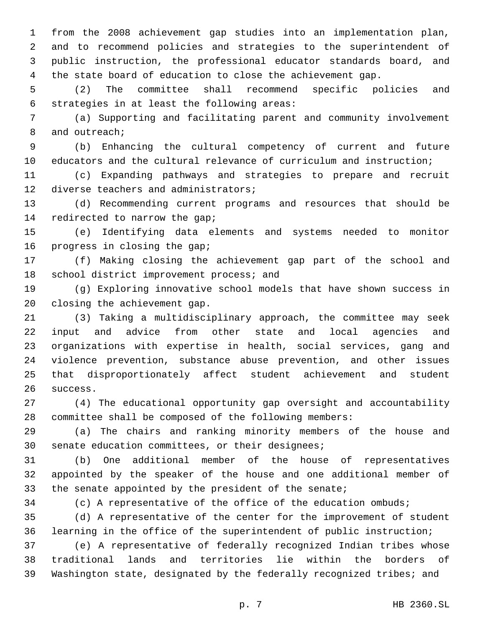from the 2008 achievement gap studies into an implementation plan, and to recommend policies and strategies to the superintendent of public instruction, the professional educator standards board, and the state board of education to close the achievement gap.

 (2) The committee shall recommend specific policies and 6 strategies in at least the following areas:

 (a) Supporting and facilitating parent and community involvement 8 and outreach;

 (b) Enhancing the cultural competency of current and future educators and the cultural relevance of curriculum and instruction;

 (c) Expanding pathways and strategies to prepare and recruit 12 diverse teachers and administrators;

 (d) Recommending current programs and resources that should be 14 redirected to narrow the gap;

 (e) Identifying data elements and systems needed to monitor 16 progress in closing the gap;

 (f) Making closing the achievement gap part of the school and 18 school district improvement process; and

 (g) Exploring innovative school models that have shown success in 20 closing the achievement gap.

 (3) Taking a multidisciplinary approach, the committee may seek input and advice from other state and local agencies and organizations with expertise in health, social services, gang and violence prevention, substance abuse prevention, and other issues that disproportionately affect student achievement and student 26 success.

 (4) The educational opportunity gap oversight and accountability committee shall be composed of the following members:

 (a) The chairs and ranking minority members of the house and 30 senate education committees, or their designees;

 (b) One additional member of the house of representatives appointed by the speaker of the house and one additional member of 33 the senate appointed by the president of the senate;

(c) A representative of the office of the education ombuds;

 (d) A representative of the center for the improvement of student learning in the office of the superintendent of public instruction;

 (e) A representative of federally recognized Indian tribes whose traditional lands and territories lie within the borders of Washington state, designated by the federally recognized tribes; and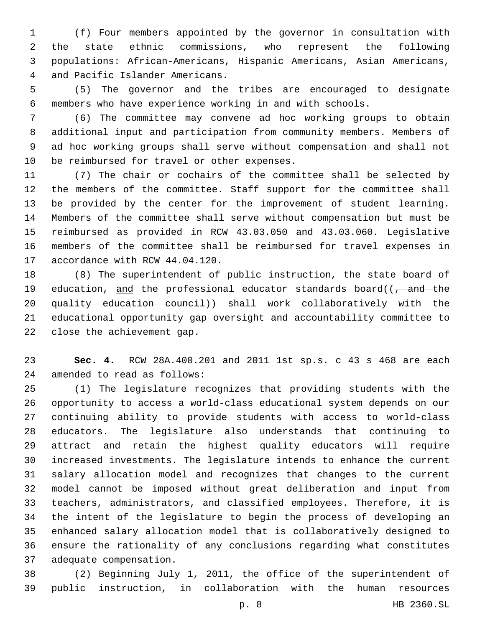(f) Four members appointed by the governor in consultation with the state ethnic commissions, who represent the following populations: African-Americans, Hispanic Americans, Asian Americans, 4 and Pacific Islander Americans.

 (5) The governor and the tribes are encouraged to designate members who have experience working in and with schools.

 (6) The committee may convene ad hoc working groups to obtain additional input and participation from community members. Members of ad hoc working groups shall serve without compensation and shall not 10 be reimbursed for travel or other expenses.

 (7) The chair or cochairs of the committee shall be selected by the members of the committee. Staff support for the committee shall be provided by the center for the improvement of student learning. Members of the committee shall serve without compensation but must be reimbursed as provided in RCW 43.03.050 and 43.03.060. Legislative members of the committee shall be reimbursed for travel expenses in 17 accordance with RCW 44.04.120.

 (8) The superintendent of public instruction, the state board of 19 education, and the professional educator standards board( $\frac{1}{1}$  and the quality education council)) shall work collaboratively with the educational opportunity gap oversight and accountability committee to 22 close the achievement gap.

 **Sec. 4.** RCW 28A.400.201 and 2011 1st sp.s. c 43 s 468 are each 24 amended to read as follows:

 (1) The legislature recognizes that providing students with the opportunity to access a world-class educational system depends on our continuing ability to provide students with access to world-class educators. The legislature also understands that continuing to attract and retain the highest quality educators will require increased investments. The legislature intends to enhance the current salary allocation model and recognizes that changes to the current model cannot be imposed without great deliberation and input from teachers, administrators, and classified employees. Therefore, it is the intent of the legislature to begin the process of developing an enhanced salary allocation model that is collaboratively designed to ensure the rationality of any conclusions regarding what constitutes 37 adequate compensation.

 (2) Beginning July 1, 2011, the office of the superintendent of public instruction, in collaboration with the human resources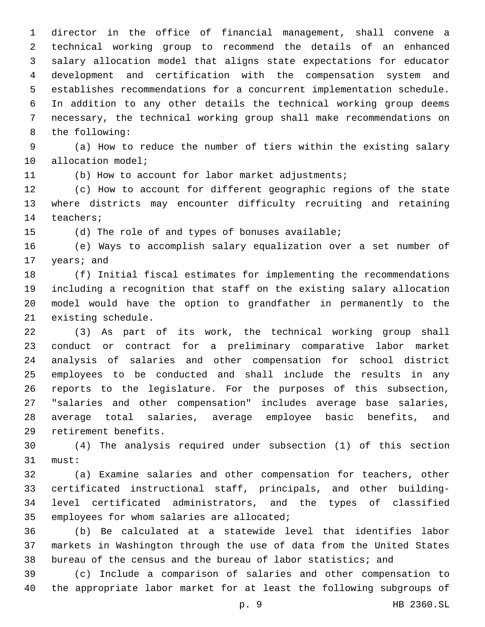director in the office of financial management, shall convene a technical working group to recommend the details of an enhanced salary allocation model that aligns state expectations for educator development and certification with the compensation system and establishes recommendations for a concurrent implementation schedule. In addition to any other details the technical working group deems necessary, the technical working group shall make recommendations on 8 the following:

 (a) How to reduce the number of tiers within the existing salary 10 allocation model;

(b) How to account for labor market adjustments;

 (c) How to account for different geographic regions of the state where districts may encounter difficulty recruiting and retaining 14 teachers;

(d) The role of and types of bonuses available;

 (e) Ways to accomplish salary equalization over a set number of 17 years; and

 (f) Initial fiscal estimates for implementing the recommendations including a recognition that staff on the existing salary allocation model would have the option to grandfather in permanently to the 21 existing schedule.

 (3) As part of its work, the technical working group shall conduct or contract for a preliminary comparative labor market analysis of salaries and other compensation for school district employees to be conducted and shall include the results in any reports to the legislature. For the purposes of this subsection, "salaries and other compensation" includes average base salaries, average total salaries, average employee basic benefits, and 29 retirement benefits.

 (4) The analysis required under subsection (1) of this section 31 must:

 (a) Examine salaries and other compensation for teachers, other certificated instructional staff, principals, and other building- level certificated administrators, and the types of classified 35 employees for whom salaries are allocated;

 (b) Be calculated at a statewide level that identifies labor markets in Washington through the use of data from the United States bureau of the census and the bureau of labor statistics; and

 (c) Include a comparison of salaries and other compensation to the appropriate labor market for at least the following subgroups of